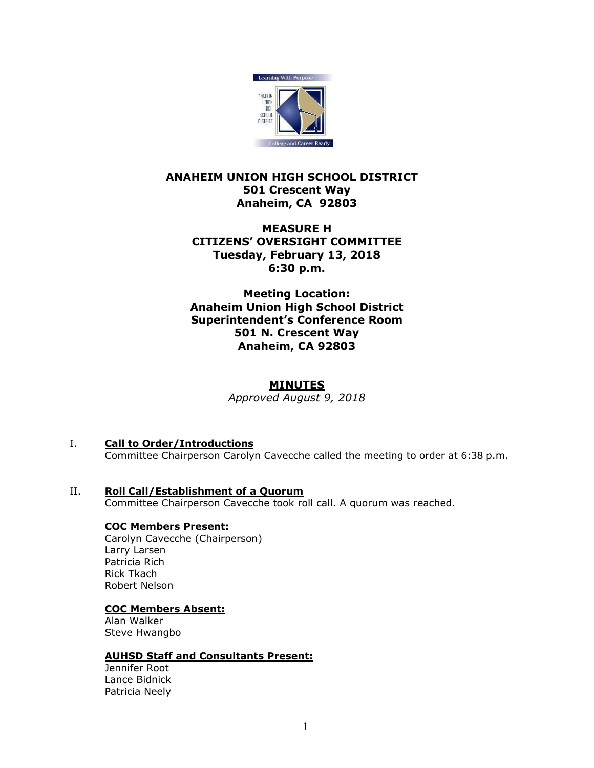

# **ANAHEIM UNION HIGH SCHOOL DISTRICT 501 Crescent Way Anaheim, CA 92803**

# **MEASURE H CITIZENS' OVERSIGHT COMMITTEE Tuesday, February 13, 2018 6:30 p.m.**

**Meeting Location: Anaheim Union High School District Superintendent's Conference Room 501 N. Crescent Way Anaheim, CA 92803**

## **MINUTES**

*Approved August 9, 2018*

- I. **Call to Order/Introductions** Committee Chairperson Carolyn Cavecche called the meeting to order at 6:38 p.m.
- II. **Roll Call/Establishment of a Quorum** Committee Chairperson Cavecche took roll call. A quorum was reached.

## **COC Members Present:**

Carolyn Cavecche (Chairperson) Larry Larsen Patricia Rich Rick Tkach Robert Nelson

### **COC Members Absent:**

Alan Walker Steve Hwangbo

## **AUHSD Staff and Consultants Present:**

Jennifer Root Lance Bidnick Patricia Neely